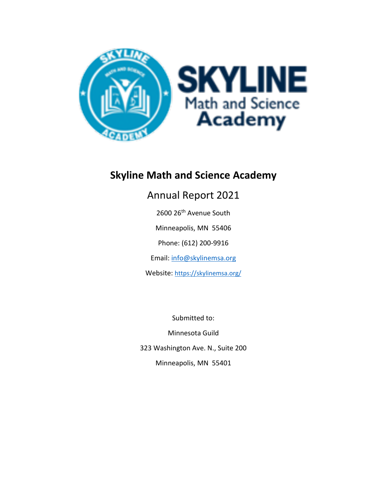

# **Skyline Math and Science Academy**

# Annual Report 2021

2600 26th Avenue South

Minneapolis, MN 55406

Phone: (612) 200-9916

Email: [info@skylinemsa.org](mailto:info@skylinemsa.org)

Website: <https://skylinemsa.org/>

Submitted to:

Minnesota Guild 323 Washington Ave. N., Suite 200 Minneapolis, MN 55401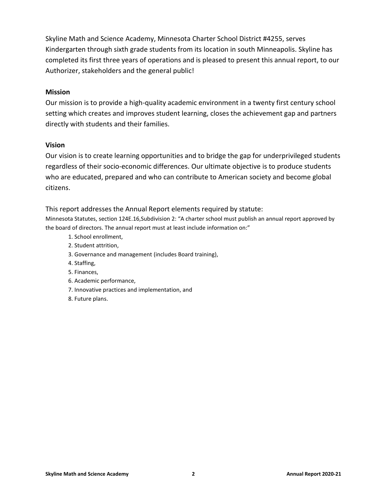Skyline Math and Science Academy, Minnesota Charter School District #4255, serves Kindergarten through sixth grade students from its location in south Minneapolis. Skyline has completed its first three years of operations and is pleased to present this annual report, to our Authorizer, stakeholders and the general public!

#### **Mission**

Our mission is to provide a high-quality academic environment in a twenty first century school setting which creates and improves student learning, closes the achievement gap and partners directly with students and their families.

#### **Vision**

Our vision is to create learning opportunities and to bridge the gap for underprivileged students regardless of their socio-economic differences. Our ultimate objective is to produce students who are educated, prepared and who can contribute to American society and become global citizens.

#### This report addresses the Annual Report elements required by statute:

Minnesota Statutes, section 124E.16,Subdivision 2: "A charter school must publish an annual report approved by the board of directors. The annual report must at least include information on:"

- 1. School enrollment,
- 2. Student attrition,
- 3. Governance and management (includes Board training),
- 4. Staffing,
- 5. Finances,
- 6. Academic performance,
- 7. Innovative practices and implementation, and
- 8. Future plans.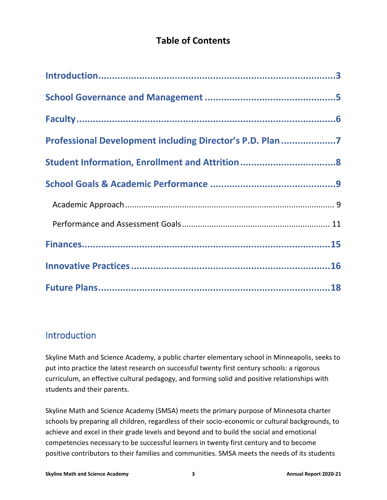### **Table of Contents**

| Professional Development including Director's P.D. Plan 7 |  |
|-----------------------------------------------------------|--|
|                                                           |  |
|                                                           |  |
|                                                           |  |
|                                                           |  |
|                                                           |  |
|                                                           |  |
|                                                           |  |

### <span id="page-2-0"></span>Introduction

Skyline Math and Science Academy, a public charter elementary school in Minneapolis, seeks to put into practice the latest research on successful twenty first century schools: a rigorous curriculum, an effective cultural pedagogy, and forming solid and positive relationships with students and their parents.

Skyline Math and Science Academy (SMSA) meets the primary purpose of Minnesota charter schools by preparing all children, regardless of their socio-economic or cultural backgrounds, to achieve and excel in their grade levels and beyond and to build the social and emotional competencies necessary to be successful learners in twenty first century and to become positive contributors to their families and communities. SMSA meets the needs of its students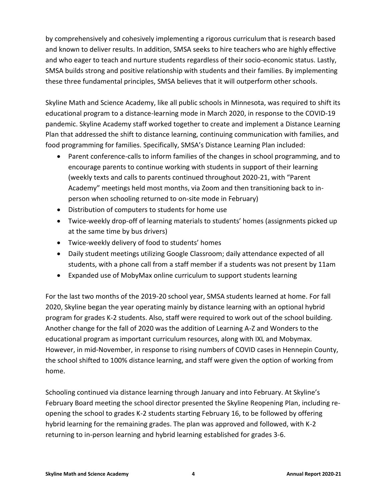by comprehensively and cohesively implementing a rigorous curriculum that is research based and known to deliver results. In addition, SMSA seeks to hire teachers who are highly effective and who eager to teach and nurture students regardless of their socio-economic status. Lastly, SMSA builds strong and positive relationship with students and their families. By implementing these three fundamental principles, SMSA believes that it will outperform other schools.

Skyline Math and Science Academy, like all public schools in Minnesota, was required to shift its educational program to a distance-learning mode in March 2020, in response to the COVID-19 pandemic. Skyline Academy staff worked together to create and implement a Distance Learning Plan that addressed the shift to distance learning, continuing communication with families, and food programming for families. Specifically, SMSA's Distance Learning Plan included:

- Parent conference-calls to inform families of the changes in school programming, and to encourage parents to continue working with students in support of their learning (weekly texts and calls to parents continued throughout 2020-21, with "Parent Academy" meetings held most months, via Zoom and then transitioning back to inperson when schooling returned to on-site mode in February)
- Distribution of computers to students for home use
- Twice-weekly drop-off of learning materials to students' homes (assignments picked up at the same time by bus drivers)
- Twice-weekly delivery of food to students' homes
- Daily student meetings utilizing Google Classroom; daily attendance expected of all students, with a phone call from a staff member if a students was not present by 11am
- Expanded use of MobyMax online curriculum to support students learning

For the last two months of the 2019-20 school year, SMSA students learned at home. For fall 2020, Skyline began the year operating mainly by distance learning with an optional hybrid program for grades K-2 students. Also, staff were required to work out of the school building. Another change for the fall of 2020 was the addition of Learning A-Z and Wonders to the educational program as important curriculum resources, along with IXL and Mobymax. However, in mid-November, in response to rising numbers of COVID cases in Hennepin County, the school shifted to 100% distance learning, and staff were given the option of working from home.

Schooling continued via distance learning through January and into February. At Skyline's February Board meeting the school director presented the Skyline Reopening Plan, including reopening the school to grades K-2 students starting February 16, to be followed by offering hybrid learning for the remaining grades. The plan was approved and followed, with K-2 returning to in-person learning and hybrid learning established for grades 3-6.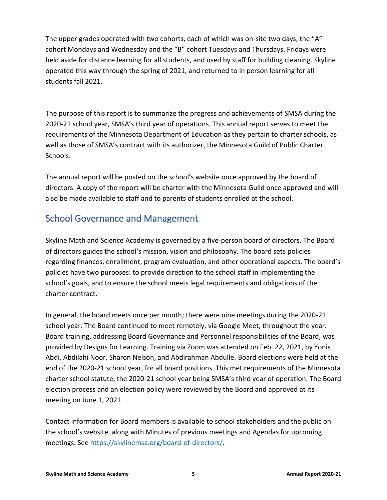The upper grades operated with two cohorts, each of which was on-site two days, the "A" cohort Mondays and Wednesday and the "B" cohort Tuesdays and Thursdays. Fridays were held aside for distance learning for all students, and used by staff for building cleaning. Skyline operated this way through the spring of 2021, and returned to in person learning for all students fall 2021.

The purpose of this report is to summarize the progress and achievements of SMSA during the 2020-21 school year, SMSA's third year of operations. This annual report serves to meet the requirements of the Minnesota Department of Education as they pertain to charter schools, as well as those of SMSA's contract with its authorizer, the Minnesota Guild of Public Charter Schools.

The annual report will be posted on the school's website once approved by the board of directors. A copy of the report will be charter with the Minnesota Guild once approved and will also be made available to staff and to parents of students enrolled at the school.

### <span id="page-4-0"></span>School Governance and Management

Skyline Math and Science Academy is governed by a five-person board of directors. The Board of directors guides the school's mission, vision and philosophy. The board sets policies regarding finances, enrollment, program evaluation, and other operational aspects. The board's policies have two purposes: to provide direction to the school staff in implementing the school's goals, and to ensure the school meets legal requirements and obligations of the charter contract.

In general, the board meets once per month; there were nine meetings during the 2020-21 school year. The Board continued to meet remotely, via Google Meet, throughout the year. Board training, addressing Board Governance and Personnel responsibilities of the Board, was provided by Designs for Learning. Training via Zoom was attended on Feb. 22, 2021, by Yonis Abdi, Abdilahi Noor, Sharon Nelson, and Abdirahman Abdulle. Board elections were held at the end of the 2020-21 school year, for all board positions. This met requirements of the Minnesota charter school statute, the 2020-21 school year being SMSA's third year of operation. The Board election process and an election policy were reviewed by the Board and approved at its meeting on June 1, 2021.

Contact information for Board members is available to school stakeholders and the public on the school's website, along with Minutes of previous meetings and Agendas for upcoming meetings. See [https://skylinemsa.org/board-of-directors/.](https://skylinemsa.org/board-of-directors/)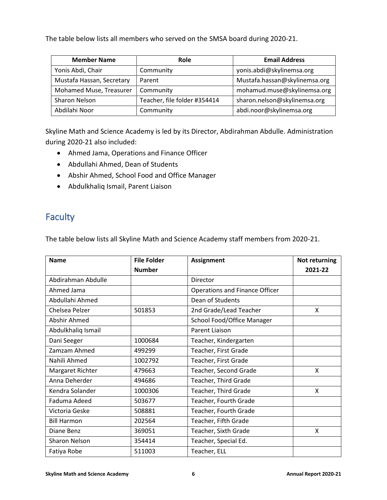The table below lists all members who served on the SMSA board during 2020-21.

| <b>Member Name</b>        | Role                         | <b>Email Address</b>          |
|---------------------------|------------------------------|-------------------------------|
| Yonis Abdi, Chair         | Community                    | yonis.abdi@skylinemsa.org     |
| Mustafa Hassan, Secretary | Parent                       | Mustafa.hassan@skylinemsa.org |
| Mohamed Muse, Treasurer   | Community                    | mohamud.muse@skylinemsa.org   |
| Sharon Nelson             | Teacher, file folder #354414 | sharon.nelson@skylinemsa.org  |
| Abdilahi Noor             | Community                    | abdi.noor@skylinemsa.org      |

Skyline Math and Science Academy is led by its Director, Abdirahman Abdulle. Administration during 2020-21 also included:

- Ahmed Jama, Operations and Finance Officer
- Abdullahi Ahmed, Dean of Students
- Abshir Ahmed, School Food and Office Manager
- Abdulkhaliq Ismail, Parent Liaison

## <span id="page-5-0"></span>Faculty

The table below lists all Skyline Math and Science Academy staff members from 2020-21.

| <b>File Folder</b><br><b>Name</b><br><b>Assignment</b> |                                |                                       | <b>Not returning</b> |
|--------------------------------------------------------|--------------------------------|---------------------------------------|----------------------|
|                                                        | <b>Number</b>                  |                                       | 2021-22              |
| Abdirahman Abdulle                                     |                                | Director                              |                      |
| Ahmed Jama                                             |                                | <b>Operations and Finance Officer</b> |                      |
| Abdullahi Ahmed                                        |                                | Dean of Students                      |                      |
| Chelsea Pelzer                                         | 501853                         | 2nd Grade/Lead Teacher                | X                    |
| Abshir Ahmed                                           |                                | School Food/Office Manager            |                      |
| Abdulkhaliq Ismail                                     |                                | Parent Liaison                        |                      |
| Dani Seeger<br>1000684<br>Teacher, Kindergarten        |                                |                                       |                      |
| Zamzam Ahmed                                           | 499299                         | Teacher, First Grade                  |                      |
| Nahili Ahmed<br>1002792                                |                                | Teacher, First Grade                  |                      |
| Margaret Richter<br>479663                             |                                | Teacher, Second Grade                 | X                    |
| Anna Deherder                                          | Teacher, Third Grade<br>494686 |                                       |                      |
| Kendra Solander                                        | 1000306                        | Teacher, Third Grade                  |                      |
| Faduma Adeed                                           | 503677                         | Teacher, Fourth Grade                 |                      |
| Victoria Geske                                         | 508881                         | Teacher, Fourth Grade                 |                      |
| <b>Bill Harmon</b>                                     | 202564                         | Teacher, Fifth Grade                  |                      |
| Diane Benz                                             | 369051<br>Teacher, Sixth Grade |                                       | X                    |
| Sharon Nelson                                          | 354414                         | Teacher, Special Ed.                  |                      |
| Fatiya Robe                                            | 511003                         | Teacher, ELL                          |                      |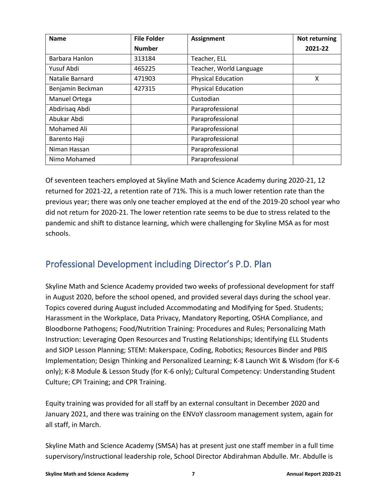| <b>Name</b>      | <b>File Folder</b> | <b>Assignment</b>         | Not returning |
|------------------|--------------------|---------------------------|---------------|
|                  | <b>Number</b>      |                           | 2021-22       |
| Barbara Hanlon   | 313184             | Teacher, ELL              |               |
| Yusuf Abdi       | 465225             | Teacher, World Language   |               |
| Natalie Barnard  | 471903             | <b>Physical Education</b> | X             |
| Benjamin Beckman | 427315             | <b>Physical Education</b> |               |
| Manuel Ortega    |                    | Custodian                 |               |
| Abdirisaq Abdi   |                    | Paraprofessional          |               |
| Abukar Abdi      |                    | Paraprofessional          |               |
| Mohamed Ali      |                    | Paraprofessional          |               |
| Barento Haji     |                    | Paraprofessional          |               |
| Niman Hassan     |                    | Paraprofessional          |               |
| Nimo Mohamed     |                    | Paraprofessional          |               |

Of seventeen teachers employed at Skyline Math and Science Academy during 2020-21, 12 returned for 2021-22, a retention rate of 71%. This is a much lower retention rate than the previous year; there was only one teacher employed at the end of the 2019-20 school year who did not return for 2020-21. The lower retention rate seems to be due to stress related to the pandemic and shift to distance learning, which were challenging for Skyline MSA as for most schools.

# <span id="page-6-0"></span>Professional Development including Director's P.D. Plan

Skyline Math and Science Academy provided two weeks of professional development for staff in August 2020, before the school opened, and provided several days during the school year. Topics covered during August included Accommodating and Modifying for Sped. Students; Harassment in the Workplace, Data Privacy, Mandatory Reporting, OSHA Compliance, and Bloodborne Pathogens; Food/Nutrition Training: Procedures and Rules; Personalizing Math Instruction: Leveraging Open Resources and Trusting Relationships; Identifying ELL Students and SIOP Lesson Planning; STEM: Makerspace, Coding, Robotics; Resources Binder and PBIS Implementation; Design Thinking and Personalized Learning; K-8 Launch Wit & Wisdom (for K-6 only); K-8 Module & Lesson Study (for K-6 only); Cultural Competency: Understanding Student Culture; CPI Training; and CPR Training.

Equity training was provided for all staff by an external consultant in December 2020 and January 2021, and there was training on the ENVoY classroom management system, again for all staff, in March.

Skyline Math and Science Academy (SMSA) has at present just one staff member in a full time supervisory/instructional leadership role, School Director Abdirahman Abdulle. Mr. Abdulle is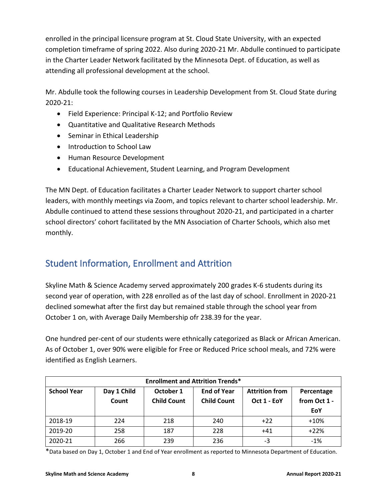enrolled in the principal licensure program at St. Cloud State University, with an expected completion timeframe of spring 2022. Also during 2020-21 Mr. Abdulle continued to participate in the Charter Leader Network facilitated by the Minnesota Dept. of Education, as well as attending all professional development at the school.

Mr. Abdulle took the following courses in Leadership Development from St. Cloud State during 2020-21:

- Field Experience: Principal K-12; and Portfolio Review
- Quantitative and Qualitative Research Methods
- Seminar in Ethical Leadership
- Introduction to School Law
- Human Resource Development
- Educational Achievement, Student Learning, and Program Development

The MN Dept. of Education facilitates a Charter Leader Network to support charter school leaders, with monthly meetings via Zoom, and topics relevant to charter school leadership. Mr. Abdulle continued to attend these sessions throughout 2020-21, and participated in a charter school directors' cohort facilitated by the MN Association of Charter Schools, which also met monthly.

### <span id="page-7-0"></span>Student Information, Enrollment and Attrition

Skyline Math & Science Academy served approximately 200 grades K-6 students during its second year of operation, with 228 enrolled as of the last day of school. Enrollment in 2020-21 declined somewhat after the first day but remained stable through the school year from October 1 on, with Average Daily Membership ofr 238.39 for the year.

One hundred per-cent of our students were ethnically categorized as Black or African American. As of October 1, over 90% were eligible for Free or Reduced Price school meals, and 72% were identified as English Learners.

| <b>Enrollment and Attrition Trends*</b> |             |                    |                    |                       |              |  |
|-----------------------------------------|-------------|--------------------|--------------------|-----------------------|--------------|--|
| <b>School Year</b>                      | Day 1 Child | October 1          | <b>End of Year</b> | <b>Attrition from</b> | Percentage   |  |
|                                         | Count       | <b>Child Count</b> | <b>Child Count</b> | Oct 1 - EoY           | from Oct 1 - |  |
|                                         |             |                    |                    |                       | EoY          |  |
| 2018-19                                 | 224         | 218                | 240                | $+22$                 | $+10%$       |  |
| 2019-20                                 | 258         | 187                | 228                | $+41$                 | $+22%$       |  |
| 2020-21                                 | 266         | 239                | 236                | -3                    | $-1%$        |  |

\*Data based on Day 1, October 1 and End of Year enrollment as reported to Minnesota Department of Education.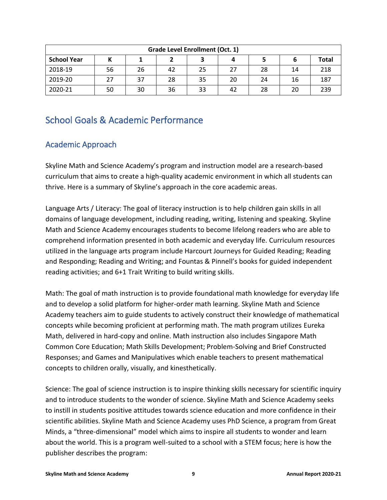| <b>Grade Level Enrollment (Oct. 1)</b> |    |    |    |    |    |    |    |              |
|----------------------------------------|----|----|----|----|----|----|----|--------------|
| <b>School Year</b>                     |    |    |    | 3  |    |    |    | <b>Total</b> |
| 2018-19                                | 56 | 26 | 42 | 25 | 27 | 28 | 14 | 218          |
| 2019-20                                | 27 | 37 | 28 | 35 | 20 | 24 | 16 | 187          |
| 2020-21                                | 50 | 30 | 36 | 33 | 42 | 28 | 20 | 239          |

## <span id="page-8-0"></span>School Goals & Academic Performance

### <span id="page-8-1"></span>Academic Approach

Skyline Math and Science Academy's program and instruction model are a research-based curriculum that aims to create a high-quality academic environment in which all students can thrive. Here is a summary of Skyline's approach in the core academic areas.

Language Arts / Literacy: The goal of literacy instruction is to help children gain skills in all domains of language development, including reading, writing, listening and speaking. Skyline Math and Science Academy encourages students to become lifelong readers who are able to comprehend information presented in both academic and everyday life. Curriculum resources utilized in the language arts program include Harcourt Journeys for Guided Reading; Reading and Responding; Reading and Writing; and Fountas & Pinnell's books for guided independent reading activities; and 6+1 Trait Writing to build writing skills.

Math: The goal of math instruction is to provide foundational math knowledge for everyday life and to develop a solid platform for higher-order math learning. Skyline Math and Science Academy teachers aim to guide students to actively construct their knowledge of mathematical concepts while becoming proficient at performing math. The math program utilizes Eureka Math, delivered in hard-copy and online. Math instruction also includes Singapore Math Common Core Education; Math Skills Development; Problem-Solving and Brief Constructed Responses; and Games and Manipulatives which enable teachers to present mathematical concepts to children orally, visually, and kinesthetically.

Science: The goal of science instruction is to inspire thinking skills necessary for scientific inquiry and to introduce students to the wonder of science. Skyline Math and Science Academy seeks to instill in students positive attitudes towards science education and more confidence in their scientific abilities. Skyline Math and Science Academy uses PhD Science, a program from Great Minds, a "three-dimensional" model which aims to inspire all students to wonder and learn about the world. This is a program well-suited to a school with a STEM focus; here is how the publisher describes the program: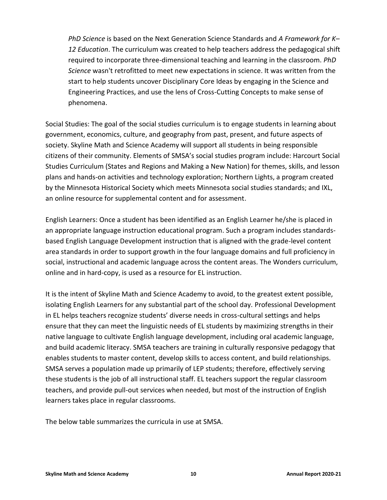*PhD Science* is based on the Next Generation Science Standards and *A Framework for K– 12 Education*. The curriculum was created to help teachers address the pedagogical shift required to incorporate three-dimensional teaching and learning in the classroom. *PhD Science* wasn't retrofitted to meet new expectations in science. It was written from the start to help students uncover Disciplinary Core Ideas by engaging in the Science and Engineering Practices, and use the lens of Cross-Cutting Concepts to make sense of phenomena.

Social Studies: The goal of the social studies curriculum is to engage students in learning about government, economics, culture, and geography from past, present, and future aspects of society. Skyline Math and Science Academy will support all students in being responsible citizens of their community. Elements of SMSA's social studies program include: Harcourt Social Studies Curriculum (States and Regions and Making a New Nation) for themes, skills, and lesson plans and hands-on activities and technology exploration; Northern Lights, a program created by the Minnesota Historical Society which meets Minnesota social studies standards; and IXL, an online resource for supplemental content and for assessment.

English Learners: Once a student has been identified as an English Learner he/she is placed in an appropriate language instruction educational program. Such a program includes standardsbased English Language Development instruction that is aligned with the grade-level content area standards in order to support growth in the four language domains and full proficiency in social, instructional and academic language across the content areas. The Wonders curriculum, online and in hard-copy, is used as a resource for EL instruction.

It is the intent of Skyline Math and Science Academy to avoid, to the greatest extent possible, isolating English Learners for any substantial part of the school day. Professional Development in EL helps teachers recognize students' diverse needs in cross-cultural settings and helps ensure that they can meet the linguistic needs of EL students by maximizing strengths in their native language to cultivate English language development, including oral academic language, and build academic literacy. SMSA teachers are training in culturally responsive pedagogy that enables students to master content, develop skills to access content, and build relationships. SMSA serves a population made up primarily of LEP students; therefore, effectively serving these students is the job of all instructional staff. EL teachers support the regular classroom teachers, and provide pull-out services when needed, but most of the instruction of English learners takes place in regular classrooms.

The below table summarizes the curricula in use at SMSA.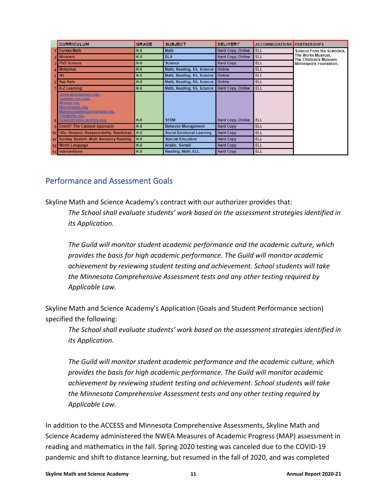| <b>CURRICULUM</b>                                                                                                                                             | <b>GRADE</b> | <b>SUBJECT</b>                   | <b>DELIVERY</b>   | <b>ACCOMMODATIONS PARTNER SHIPS</b> |                                             |
|---------------------------------------------------------------------------------------------------------------------------------------------------------------|--------------|----------------------------------|-------------------|-------------------------------------|---------------------------------------------|
| Eureka Math                                                                                                                                                   | K-6          | Math                             | Hard Copy, Online | <b>ELL</b>                          | Science From the Scientists,                |
| 2 Wonders                                                                                                                                                     | K-6          | <b>ELA</b>                       | Hard Copy, Online | <b>ELL</b>                          | The Works Museum.<br>The Children's Musuem. |
| 3 PhD Science                                                                                                                                                 | $K-6$        | <b>Science</b>                   | <b>Hard Copy</b>  | <b>ELL</b>                          | Minneapolis Foundation,                     |
| 4 Mobymax                                                                                                                                                     | $K-6$        | Math, Reading, SS, Science       | Online            | <b>ELL</b>                          |                                             |
| $5$ IXL                                                                                                                                                       | $K-6$        | Math, Reading, SS, Science       | Online            | <b>ELL</b>                          |                                             |
| 6 Raz Kids                                                                                                                                                    | $K-6$        | Math, Reading, SS, Science       | Online            | <b>ELL</b>                          |                                             |
| 7 A-Z Learning                                                                                                                                                | K-6          | Math, Reading, SS, Science       | Hard Copy, Online | <b>ELL</b>                          |                                             |
| Generationgenius.com.<br>Getstem-mn.com.<br>Mnmas.org.<br><b>Mncompass.org</b><br>Minnesotastempartnership.org<br>Theworks.org,<br>Sciencefromscientists.org. | $K-6$        | <b>STEM</b>                      | Hard Copy, Online | <b>ELL</b>                          |                                             |
| 9 EnVoY: The Catalyst Approach                                                                                                                                | $K-6$        | <b>Behavior Management</b>       | <b>Hard Copy</b>  | <b>ELL</b>                          |                                             |
| 10 3Rs: Respect, Respensobility, Readiness                                                                                                                    | $K-6$        | <b>Social Emotional Learning</b> | <b>Hard Copy</b>  | <b>ELL</b>                          |                                             |
| Sonday System: Multi Sensonry Reading                                                                                                                         | $K-6$        | <b>Special Education</b>         | <b>Hard Copy</b>  | ELL                                 |                                             |
| 12 World Language                                                                                                                                             | $K-6$        | Arabic, Somali                   | <b>Hard Copy</b>  | <b>ELL</b>                          |                                             |
| 13 Interventions                                                                                                                                              | $K-6$        | Reading, Math, ELL               | <b>Hard Copy</b>  | <b>ELL</b>                          |                                             |

### <span id="page-10-0"></span>Performance and Assessment Goals

Skyline Math and Science Academy's contract with our authorizer provides that:

*The School shall evaluate students' work based on the assessment strategies identified in its Application.* 

*The Guild will monitor student academic performance and the academic culture, which provides the basis for high academic performance. The Guild will monitor academic achievement by reviewing student testing and achievement. School students will take the Minnesota Comprehensive Assessment tests and any other testing required by Applicable Law.*

Skyline Math and Science Academy's Application (Goals and Student Performance section) specified the following:

*The School shall evaluate students' work based on the assessment strategies identified in its Application.* 

*The Guild will monitor student academic performance and the academic culture, which provides the basis for high academic performance. The Guild will monitor academic achievement by reviewing student testing and achievement. School students will take the Minnesota Comprehensive Assessment tests and any other testing required by Applicable Law.*

In addition to the ACCESS and Minnesota Comprehensive Assessments, Skyline Math and Science Academy administered the NWEA Measures of Academic Progress (MAP) assessment in reading and mathematics in the fall. Spring 2020 testing was canceled due to the COVID-19 pandemic and shift to distance learning, but resumed in the fall of 2020, and was completed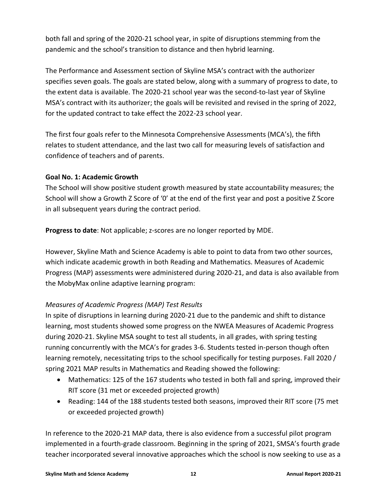both fall and spring of the 2020-21 school year, in spite of disruptions stemming from the pandemic and the school's transition to distance and then hybrid learning.

The Performance and Assessment section of Skyline MSA's contract with the authorizer specifies seven goals. The goals are stated below, along with a summary of progress to date, to the extent data is available. The 2020-21 school year was the second-to-last year of Skyline MSA's contract with its authorizer; the goals will be revisited and revised in the spring of 2022, for the updated contract to take effect the 2022-23 school year.

The first four goals refer to the Minnesota Comprehensive Assessments (MCA's), the fifth relates to student attendance, and the last two call for measuring levels of satisfaction and confidence of teachers and of parents.

#### **Goal No. 1: Academic Growth**

The School will show positive student growth measured by state accountability measures; the School will show a Growth Z Score of '0' at the end of the first year and post a positive Z Score in all subsequent years during the contract period.

**Progress to date**: Not applicable; z-scores are no longer reported by MDE.

However, Skyline Math and Science Academy is able to point to data from two other sources, which indicate academic growth in both Reading and Mathematics. Measures of Academic Progress (MAP) assessments were administered during 2020-21, and data is also available from the MobyMax online adaptive learning program:

#### *Measures of Academic Progress (MAP) Test Results*

In spite of disruptions in learning during 2020-21 due to the pandemic and shift to distance learning, most students showed some progress on the NWEA Measures of Academic Progress during 2020-21. Skyline MSA sought to test all students, in all grades, with spring testing running concurrently with the MCA's for grades 3-6. Students tested in-person though often learning remotely, necessitating trips to the school specifically for testing purposes. Fall 2020 / spring 2021 MAP results in Mathematics and Reading showed the following:

- Mathematics: 125 of the 167 students who tested in both fall and spring, improved their RIT score (31 met or exceeded projected growth)
- Reading: 144 of the 188 students tested both seasons, improved their RIT score (75 met or exceeded projected growth)

In reference to the 2020-21 MAP data, there is also evidence from a successful pilot program implemented in a fourth-grade classroom. Beginning in the spring of 2021, SMSA's fourth grade teacher incorporated several innovative approaches which the school is now seeking to use as a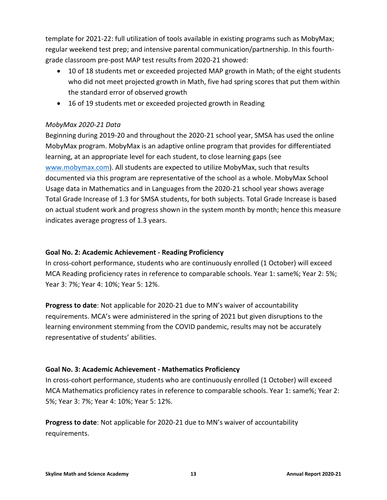template for 2021-22: full utilization of tools available in existing programs such as MobyMax; regular weekend test prep; and intensive parental communication/partnership. In this fourthgrade classroom pre-post MAP test results from 2020-21 showed:

- 10 of 18 students met or exceeded projected MAP growth in Math; of the eight students who did not meet projected growth in Math, five had spring scores that put them within the standard error of observed growth
- 16 of 19 students met or exceeded projected growth in Reading

#### *MobyMax 2020-21 Data*

Beginning during 2019-20 and throughout the 2020-21 school year, SMSA has used the online MobyMax program. MobyMax is an adaptive online program that provides for differentiated learning, at an appropriate level for each student, to close learning gaps (see [www.mobymax.com\)](http://www.mobymax.com/). All students are expected to utilize MobyMax, such that results documented via this program are representative of the school as a whole. MobyMax School Usage data in Mathematics and in Languages from the 2020-21 school year shows average Total Grade Increase of 1.3 for SMSA students, for both subjects. Total Grade Increase is based on actual student work and progress shown in the system month by month; hence this measure indicates average progress of 1.3 years.

#### **Goal No. 2: Academic Achievement ‐ Reading Proficiency**

In cross-cohort performance, students who are continuously enrolled (1 October) will exceed MCA Reading proficiency rates in reference to comparable schools. Year 1: same%; Year 2: 5%; Year 3: 7%; Year 4: 10%; Year 5: 12%.

**Progress to date**: Not applicable for 2020-21 due to MN's waiver of accountability requirements. MCA's were administered in the spring of 2021 but given disruptions to the learning environment stemming from the COVID pandemic, results may not be accurately representative of students' abilities.

#### **Goal No. 3: Academic Achievement ‐ Mathematics Proficiency**

In cross-cohort performance, students who are continuously enrolled (1 October) will exceed MCA Mathematics proficiency rates in reference to comparable schools. Year 1: same%; Year 2: 5%; Year 3: 7%; Year 4: 10%; Year 5: 12%.

**Progress to date**: Not applicable for 2020-21 due to MN's waiver of accountability requirements.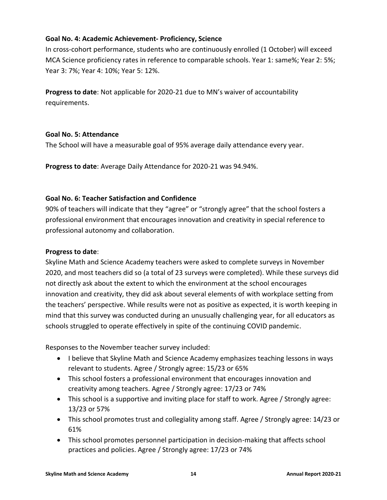#### **Goal No. 4: Academic Achievement‐ Proficiency, Science**

In cross-cohort performance, students who are continuously enrolled (1 October) will exceed MCA Science proficiency rates in reference to comparable schools. Year 1: same%; Year 2: 5%; Year 3: 7%; Year 4: 10%; Year 5: 12%.

**Progress to date**: Not applicable for 2020-21 due to MN's waiver of accountability requirements.

#### **Goal No. 5: Attendance**

The School will have a measurable goal of 95% average daily attendance every year.

**Progress to date**: Average Daily Attendance for 2020-21 was 94.94%.

#### **Goal No. 6: Teacher Satisfaction and Confidence**

90% of teachers will indicate that they "agree" or "strongly agree" that the school fosters a professional environment that encourages innovation and creativity in special reference to professional autonomy and collaboration.

#### **Progress to date**:

Skyline Math and Science Academy teachers were asked to complete surveys in November 2020, and most teachers did so (a total of 23 surveys were completed). While these surveys did not directly ask about the extent to which the environment at the school encourages innovation and creativity, they did ask about several elements of with workplace setting from the teachers' perspective. While results were not as positive as expected, it is worth keeping in mind that this survey was conducted during an unusually challenging year, for all educators as schools struggled to operate effectively in spite of the continuing COVID pandemic.

Responses to the November teacher survey included:

- I believe that Skyline Math and Science Academy emphasizes teaching lessons in ways relevant to students. Agree / Strongly agree: 15/23 or 65%
- This school fosters a professional environment that encourages innovation and creativity among teachers. Agree / Strongly agree: 17/23 or 74%
- This school is a supportive and inviting place for staff to work. Agree / Strongly agree: 13/23 or 57%
- This school promotes trust and collegiality among staff. Agree / Strongly agree: 14/23 or 61%
- This school promotes personnel participation in decision-making that affects school practices and policies. Agree / Strongly agree: 17/23 or 74%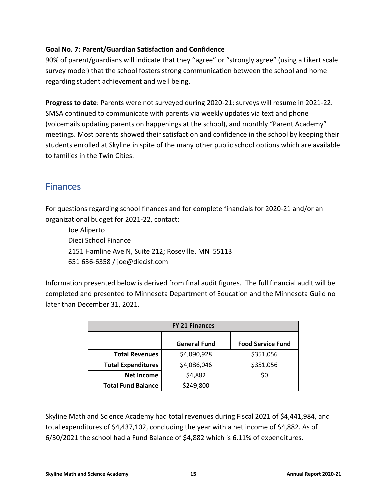#### **Goal No. 7: Parent/Guardian Satisfaction and Confidence**

90% of parent/guardians will indicate that they "agree" or "strongly agree" (using a Likert scale survey model) that the school fosters strong communication between the school and home regarding student achievement and well being.

**Progress to date**: Parents were not surveyed during 2020-21; surveys will resume in 2021-22. SMSA continued to communicate with parents via weekly updates via text and phone (voicemails updating parents on happenings at the school), and monthly "Parent Academy" meetings. Most parents showed their satisfaction and confidence in the school by keeping their students enrolled at Skyline in spite of the many other public school options which are available to families in the Twin Cities.

### <span id="page-14-0"></span>**Finances**

For questions regarding school finances and for complete financials for 2020-21 and/or an organizational budget for 2021-22, contact:

Joe Aliperto Dieci School Finance 2151 Hamline Ave N, Suite 212; Roseville, MN 55113 651 636-6358 / joe@diecisf.com

Information presented below is derived from final audit figures. The full financial audit will be completed and presented to Minnesota Department of Education and the Minnesota Guild no later than December 31, 2021.

| <b>FY 21 Finances</b>     |                     |                          |  |  |  |
|---------------------------|---------------------|--------------------------|--|--|--|
|                           | <b>General Fund</b> | <b>Food Service Fund</b> |  |  |  |
| <b>Total Revenues</b>     | \$4,090,928         | \$351,056                |  |  |  |
| <b>Total Expenditures</b> | \$4,086,046         | \$351,056                |  |  |  |
| <b>Net Income</b>         | \$4,882             | \$0                      |  |  |  |
| <b>Total Fund Balance</b> | \$249,800           |                          |  |  |  |

Skyline Math and Science Academy had total revenues during Fiscal 2021 of \$4,441,984, and total expenditures of \$4,437,102, concluding the year with a net income of \$4,882. As of 6/30/2021 the school had a Fund Balance of \$4,882 which is 6.11% of expenditures.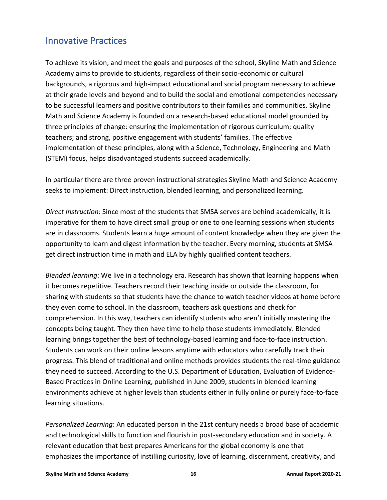### <span id="page-15-0"></span>Innovative Practices

To achieve its vision, and meet the goals and purposes of the school, Skyline Math and Science Academy aims to provide to students, regardless of their socio-economic or cultural backgrounds, a rigorous and high-impact educational and social program necessary to achieve at their grade levels and beyond and to build the social and emotional competencies necessary to be successful learners and positive contributors to their families and communities. Skyline Math and Science Academy is founded on a research-based educational model grounded by three principles of change: ensuring the implementation of rigorous curriculum; quality teachers; and strong, positive engagement with students' families. The effective implementation of these principles, along with a Science, Technology, Engineering and Math (STEM) focus, helps disadvantaged students succeed academically.

In particular there are three proven instructional strategies Skyline Math and Science Academy seeks to implement: Direct instruction, blended learning, and personalized learning.

*Direct Instruction*: Since most of the students that SMSA serves are behind academically, it is imperative for them to have direct small group or one to one learning sessions when students are in classrooms. Students learn a huge amount of content knowledge when they are given the opportunity to learn and digest information by the teacher. Every morning, students at SMSA get direct instruction time in math and ELA by highly qualified content teachers.

*Blended learning*: We live in a technology era. Research has shown that learning happens when it becomes repetitive. Teachers record their teaching inside or outside the classroom, for sharing with students so that students have the chance to watch teacher videos at home before they even come to school. In the classroom, teachers ask questions and check for comprehension. In this way, teachers can identify students who aren't initially mastering the concepts being taught. They then have time to help those students immediately. Blended learning brings together the best of technology-based learning and face-to-face instruction. Students can work on their online lessons anytime with educators who carefully track their progress. This blend of traditional and online methods provides students the real-time guidance they need to succeed. According to the U.S. Department of Education, Evaluation of Evidence-Based Practices in Online Learning, published in June 2009, students in blended learning environments achieve at higher levels than students either in fully online or purely face-to-face learning situations.

*Personalized Learning*: An educated person in the 21st century needs a broad base of academic and technological skills to function and flourish in post-secondary education and in society. A relevant education that best prepares Americans for the global economy is one that emphasizes the importance of instilling curiosity, love of learning, discernment, creativity, and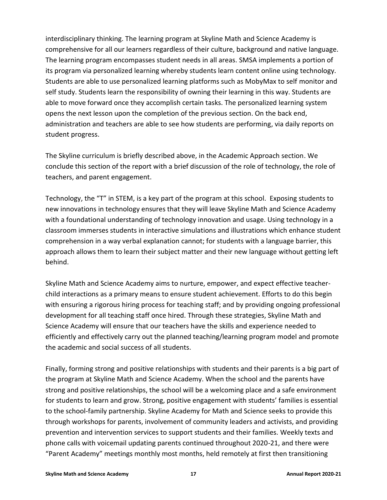interdisciplinary thinking. The learning program at Skyline Math and Science Academy is comprehensive for all our learners regardless of their culture, background and native language. The learning program encompasses student needs in all areas. SMSA implements a portion of its program via personalized learning whereby students learn content online using technology. Students are able to use personalized learning platforms such as MobyMax to self monitor and self study. Students learn the responsibility of owning their learning in this way. Students are able to move forward once they accomplish certain tasks. The personalized learning system opens the next lesson upon the completion of the previous section. On the back end, administration and teachers are able to see how students are performing, via daily reports on student progress.

The Skyline curriculum is briefly described above, in the Academic Approach section. We conclude this section of the report with a brief discussion of the role of technology, the role of teachers, and parent engagement.

Technology, the "T" in STEM, is a key part of the program at this school. Exposing students to new innovations in technology ensures that they will leave Skyline Math and Science Academy with a foundational understanding of technology innovation and usage. Using technology in a classroom immerses students in interactive simulations and illustrations which enhance student comprehension in a way verbal explanation cannot; for students with a language barrier, this approach allows them to learn their subject matter and their new language without getting left behind.

Skyline Math and Science Academy aims to nurture, empower, and expect effective teacherchild interactions as a primary means to ensure student achievement. Efforts to do this begin with ensuring a rigorous hiring process for teaching staff; and by providing ongoing professional development for all teaching staff once hired. Through these strategies, Skyline Math and Science Academy will ensure that our teachers have the skills and experience needed to efficiently and effectively carry out the planned teaching/learning program model and promote the academic and social success of all students.

Finally, forming strong and positive relationships with students and their parents is a big part of the program at Skyline Math and Science Academy. When the school and the parents have strong and positive relationships, the school will be a welcoming place and a safe environment for students to learn and grow. Strong, positive engagement with students' families is essential to the school-family partnership. Skyline Academy for Math and Science seeks to provide this through workshops for parents, involvement of community leaders and activists, and providing prevention and intervention services to support students and their families. Weekly texts and phone calls with voicemail updating parents continued throughout 2020-21, and there were "Parent Academy" meetings monthly most months, held remotely at first then transitioning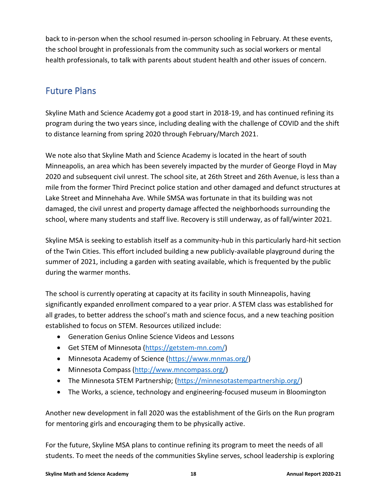back to in-person when the school resumed in-person schooling in February. At these events, the school brought in professionals from the community such as social workers or mental health professionals, to talk with parents about student health and other issues of concern.

## <span id="page-17-0"></span>Future Plans

Skyline Math and Science Academy got a good start in 2018-19, and has continued refining its program during the two years since, including dealing with the challenge of COVID and the shift to distance learning from spring 2020 through February/March 2021.

We note also that Skyline Math and Science Academy is located in the heart of south Minneapolis, an area which has been severely impacted by the murder of George Floyd in May 2020 and subsequent civil unrest. The school site, at 26th Street and 26th Avenue, is less than a mile from the former Third Precinct police station and other damaged and defunct structures at Lake Street and Minnehaha Ave. While SMSA was fortunate in that its building was not damaged, the civil unrest and property damage affected the neighborhoods surrounding the school, where many students and staff live. Recovery is still underway, as of fall/winter 2021.

Skyline MSA is seeking to establish itself as a community-hub in this particularly hard-hit section of the Twin Cities. This effort included building a new publicly-available playground during the summer of 2021, including a garden with seating available, which is frequented by the public during the warmer months.

The school is currently operating at capacity at its facility in south Minneapolis, having significantly expanded enrollment compared to a year prior. A STEM class was established for all grades, to better address the school's math and science focus, and a new teaching position established to focus on STEM. Resources utilized include:

- Generation Genius Online Science Videos and Lessons
- Get STEM of Minnesota [\(https://getstem-mn.com/\)](https://getstem-mn.com/)
- Minnesota Academy of Science [\(https://www.mnmas.org/\)](https://www.mnmas.org/)
- Minnesota Compass [\(http://www.mncompass.org/\)](http://www.mncompass.org/)
- The Minnesota STEM Partnership; [\(https://minnesotastempartnership.org/\)](https://minnesotastempartnership.org/)
- The Works, a science, technology and engineering-focused museum in Bloomington

Another new development in fall 2020 was the establishment of the Girls on the Run program for mentoring girls and encouraging them to be physically active.

For the future, Skyline MSA plans to continue refining its program to meet the needs of all students. To meet the needs of the communities Skyline serves, school leadership is exploring